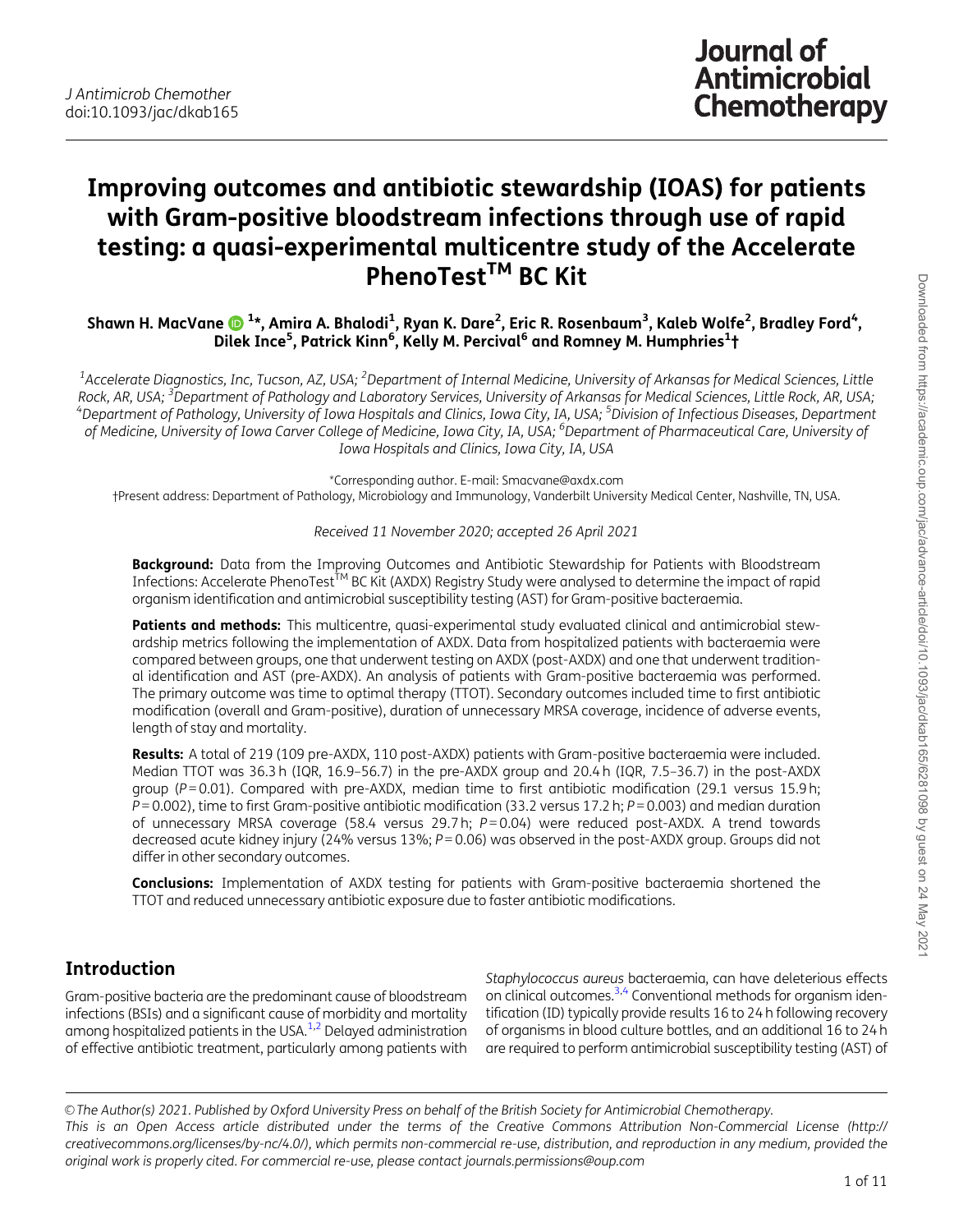# <span id="page-0-0"></span>Improving outcomes and antibiotic stewardship (IOAS) for patients with Gram-positive bloodstream infections through use of rapid testing: a quasi-experimental multicentre study of the Accelerate PhenoTest<sup>™</sup> BC Kit

Shawn H. MacVane �����\*, Amira A. Bhalodi<sup>1</sup>, Ryan K. Dare<sup>2</sup>, Eric R. Rosenbaum<sup>3</sup>, Kaleb Wolfe<sup>2</sup>, Bradley Ford<sup>4</sup>, Dilek Ince<sup>5</sup>, Patrick Kinn<sup>6</sup>, Kelly M. Percival<sup>6</sup> and Romney M. Humphries<sup>1</sup>†

 $^{\rm 1}$ Accelerate Diagnostics, Inc, Tucson, AZ, USA; <sup>2</sup>Department of Internal Medicine, University of Arkansas for Medical Sciences, Little Rock, AR, USA; <sup>3</sup>Department of Pathology and Laboratory Services, University of Arkansas for Medical Sciences, Little Rock, AR, USA;<br><sup>4</sup>Department of Pathology, University of Jowa Hospitals and Clinics, Jowa City, IA, USA Department of Pathology, University of Iowa Hospitals and Clinics, Iowa City, IA, USA; <sup>5</sup>Division of Infectious Diseases, Department of Medicine, University of Iowa Carver College of Medicine, Iowa City, IA, USA; <sup>6</sup>Department of Pharmaceutical Care, University of Iowa Hospitals and Clinics, Iowa City, IA, USA

\*Corresponding author. E-mail: Smacvane@axdx.com †Present address: Department of Pathology, Microbiology and Immunology, Vanderbilt University Medical Center, Nashville, TN, USA.

Received 11 November 2020; accepted 26 April 2021

Background: Data from the Improving Outcomes and Antibiotic Stewardship for Patients with Bloodstream Infections: Accelerate PhenoTest<sup>TM</sup> BC Kit (AXDX) Registry Study were analysed to determine the impact of rapid organism identification and antimicrobial susceptibility testing (AST) for Gram-positive bacteraemia.

Patients and methods: This multicentre, quasi-experimental study evaluated clinical and antimicrobial stewardship metrics following the implementation of AXDX. Data from hospitalized patients with bacteraemia were compared between groups, one that underwent testing on AXDX (post-AXDX) and one that underwent traditional identification and AST (pre-AXDX). An analysis of patients with Gram-positive bacteraemia was performed. The primary outcome was time to optimal therapy (TTOT). Secondary outcomes included time to first antibiotic modification (overall and Gram-positive), duration of unnecessary MRSA coverage, incidence of adverse events, length of stay and mortality.

Results: A total of 219 (109 pre-AXDX, 110 post-AXDX) patients with Gram-positive bacteraemia were included. Median TTOT was 36.3 h (IQR, 16.9–56.7) in the pre-AXDX group and 20.4 h (IQR, 7.5–36.7) in the post-AXDX group ( $P = 0.01$ ). Compared with pre-AXDX, median time to first antibiotic modification (29.1 versus 15.9 h;  $\bar{P}$  = 0.002), time to first Gram-positive antibiotic modification (33.2 versus 17.2 h;  $P$  = 0.003) and median duration of unnecessary MRSA coverage (58.4 versus 29.7 h; P=0.04) were reduced post-AXDX. A trend towards decreased acute kidney injury (24% versus  $13\%$ ;  $P = 0.06$ ) was observed in the post-AXDX group. Groups did not differ in other secondary outcomes.

Conclusions: Implementation of AXDX testing for patients with Gram-positive bacteraemia shortened the TTOT and reduced unnecessary antibiotic exposure due to faster antibiotic modifications.

## Introduction

Gram-positive bacteria are the predominant cause of bloodstream infections (BSIs) and a significant cause of morbidity and mortality among hospitalized patients in the USA[.1](#page-9-0),[2](#page-9-0) Delayed administration of effective antibiotic treatment, particularly among patients with

Staphylococcus aureus bacteraemia, can have deleterious effects on clinical outcomes.<sup>3,[4](#page-9-0)</sup> Conventional methods for organism identification (ID) typically provide results 16 to 24 h following recovery of organisms in blood culture bottles, and an additional 16 to 24 h are required to perform antimicrobial susceptibility testing (AST) of

V<sup>C</sup> The Author(s) 2021. Published by Oxford University Press on behalf of the British Society for Antimicrobial Chemotherapy. This is an Open Access article distributed under the terms of the Creative Commons Attribution Non-Commercial License (http:// creativecommons.org/licenses/by-nc/4.0/), which permits non-commercial re-use, distribution, and reproduction in any medium, provided the original work is properly cited. For commercial re-use, please contact journals.permissions@oup.com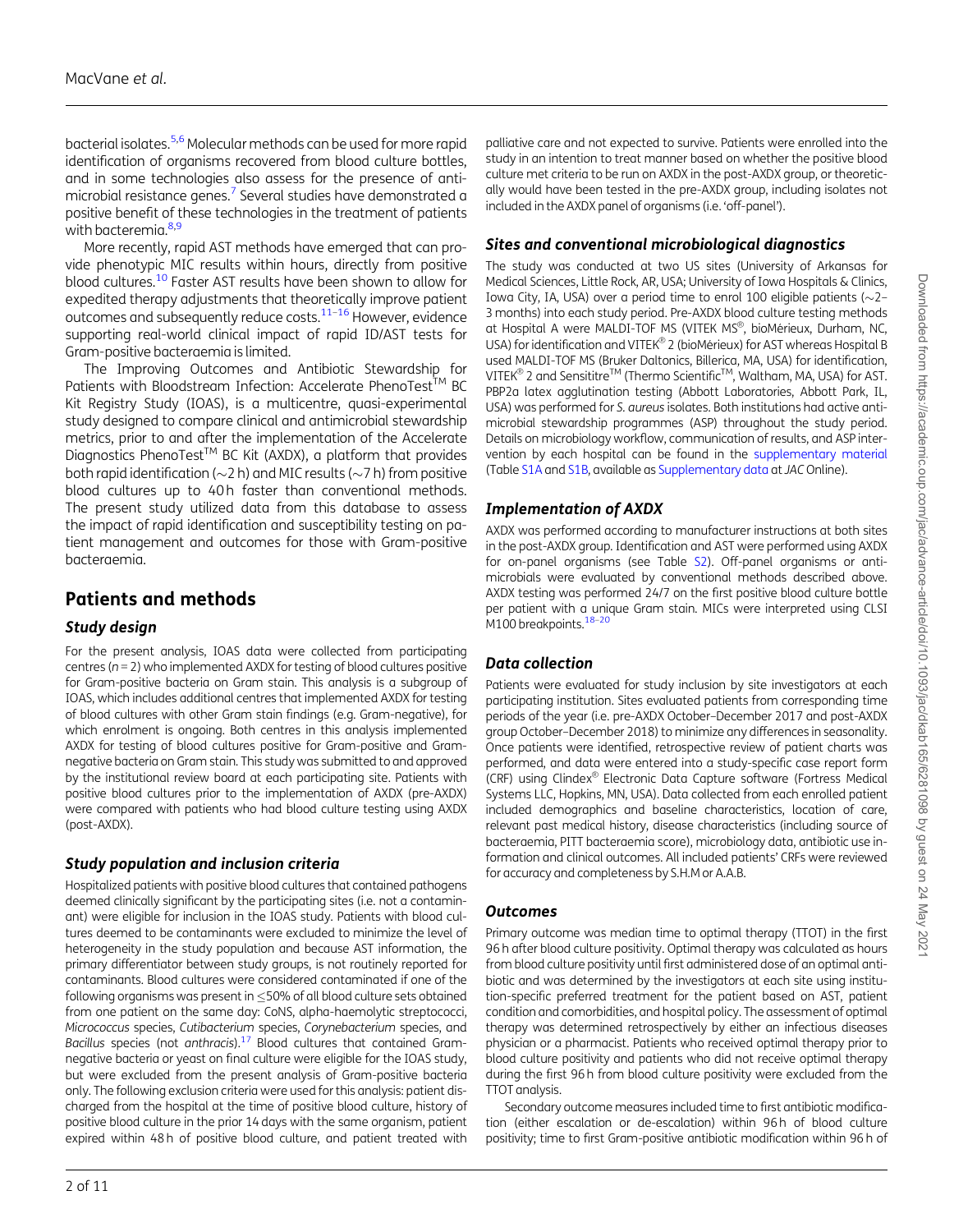<span id="page-1-0"></span>bacterial isolates[.5](#page-9-0),[6](#page-9-0) Molecular methods can be used for more rapid identification of organisms recovered from blood culture bottles, and in some technologies also assess for the presence of antimicrobial resistance genes.<sup>7</sup> Several studies have demonstrated a positive benefit of these technologies in the treatment of patients with bacteremia.<sup>[8,9](#page-9-0)</sup>

More recently, rapid AST methods have emerged that can provide phenotypic MIC results within hours, directly from positive blood cultures[.10](#page-9-0) Faster AST results have been shown to allow for expedited therapy adjustments that theoretically improve patient outcomes and subsequently reduce costs[.11](#page-9-0)–[16](#page-9-0) However, evidence supporting real-world clinical impact of rapid ID/AST tests for Gram-positive bacteraemia is limited.

The Improving Outcomes and Antibiotic Stewardship for Patients with Bloodstream Infection: Accelerate PhenoTest<sup>TM</sup> BC Kit Registry Study (IOAS), is a multicentre, quasi-experimental study designed to compare clinical and antimicrobial stewardship metrics, prior to and after the implementation of the Accelerate Diagnostics PhenoTest<sup>™</sup> BC Kit (AXDX), a platform that provides both rapid identification ( $\sim$ 2 h) and MIC results ( $\sim$ 7 h) from positive blood cultures up to 40h faster than conventional methods. The present study utilized data from this database to assess the impact of rapid identification and susceptibility testing on patient management and outcomes for those with Gram-positive bacteraemia.

## Patients and methods

### Study design

For the present analysis, IOAS data were collected from participating centres ( $n = 2$ ) who implemented AXDX for testing of blood cultures positive for Gram-positive bacteria on Gram stain. This analysis is a subgroup of IOAS, which includes additional centres that implemented AXDX for testing of blood cultures with other Gram stain findings (e.g. Gram-negative), for which enrolment is ongoing. Both centres in this analysis implemented AXDX for testing of blood cultures positive for Gram-positive and Gramnegative bacteria on Gram stain. This study was submitted to and approved by the institutional review board at each participating site. Patients with positive blood cultures prior to the implementation of AXDX (pre-AXDX) were compared with patients who had blood culture testing using AXDX (post-AXDX).

### Study population and inclusion criteria

Hospitalized patients with positive blood cultures that contained pathogens deemed clinically significant by the participating sites (i.e. not a contaminant) were eligible for inclusion in the IOAS study. Patients with blood cultures deemed to be contaminants were excluded to minimize the level of heterogeneity in the study population and because AST information, the primary differentiator between study groups, is not routinely reported for contaminants. Blood cultures were considered contaminated if one of the following organisms was present in  $<$  50% of all blood culture sets obtained from one patient on the same day: CoNS, alpha-haemolytic streptococci, Micrococcus species, Cutibacterium species, Corynebacterium species, and Bacillus species (not anthracis). $17$  Blood cultures that contained Gramnegative bacteria or yeast on final culture were eligible for the IOAS study, but were excluded from the present analysis of Gram-positive bacteria only. The following exclusion criteria were used for this analysis: patient discharged from the hospital at the time of positive blood culture, history of positive blood culture in the prior 14 days with the same organism, patient expired within 48 h of positive blood culture, and patient treated with palliative care and not expected to survive. Patients were enrolled into the study in an intention to treat manner based on whether the positive blood culture met criteria to be run on AXDX in the post-AXDX group, or theoretically would have been tested in the pre-AXDX group, including isolates not included in the AXDX panel of organisms (i.e. 'off-panel').

### Sites and conventional microbiological diagnostics

The study was conducted at two US sites (University of Arkansas for Medical Sciences, Little Rock, AR, USA; University of Iowa Hospitals & Clinics, Iowa City, IA, USA) over a period time to enrol 100 eligible patients ( $\sim$ 2– 3 months) into each study period. Pre-AXDX blood culture testing methods at Hospital A were MALDI-TOF MS (VITEK MS®, bioMérieux, Durham, NC, USA) for identification and VITEK® 2 (bioMérieux) for AST whereas Hospital B used MALDI-TOF MS (Bruker Daltonics, Billerica, MA, USA) for identification, <code>VITEK®</code> 2 and Sensititre $^{\text{\tiny{\textsf{TM}}}}$  (Thermo Scientific $^{\text{\tiny{\textsf{TM}}}}$ , Waltham, MA, USA) for AST. PBP2a latex agglutination testing (Abbott Laboratories, Abbott Park, IL, USA) was performed for S. aureus isolates. Both institutions had active antimicrobial stewardship programmes (ASP) throughout the study period. Details on microbiology workflow, communication of results, and ASP intervention by each hospital can be found in the [supplementary material](https://academic.oup.com/jac/article-lookup/doi/10.1093/jac/dkab165#supplementary-data) (Table [S1A](https://academic.oup.com/jac/article-lookup/doi/10.1093/jac/dkab165#supplementary-data) and [S1B,](https://academic.oup.com/jac/article-lookup/doi/10.1093/jac/dkab165#supplementary-data) available as [Supplementary data](https://academic.oup.com/jac/article-lookup/doi/10.1093/jac/dkab165#supplementary-data) at JACOnline).

#### Implementation of AXDX

AXDX was performed according to manufacturer instructions at both sites in the post-AXDX group. Identification and AST were performed using AXDX for on-panel organisms (see Table [S2](https://academic.oup.com/jac/article-lookup/doi/10.1093/jac/dkab165#supplementary-data)). Off-panel organisms or antimicrobials were evaluated by conventional methods described above. AXDX testing was performed 24/7 on the first positive blood culture bottle per patient with a unique Gram stain. MICs were interpreted using CLSI M100 breakpoints.<sup>18-20</sup>

### Data collection

Patients were evaluated for study inclusion by site investigators at each participating institution. Sites evaluated patients from corresponding time periods of the year (i.e. pre-AXDX October–December 2017 and post-AXDX group October–December 2018) to minimize any differences in seasonality. Once patients were identified, retrospective review of patient charts was performed, and data were entered into a study-specific case report form (CRF) using Clindex® Electronic Data Capture software (Fortress Medical Systems LLC, Hopkins, MN, USA). Data collected from each enrolled patient included demographics and baseline characteristics, location of care, relevant past medical history, disease characteristics (including source of bacteraemia, PITT bacteraemia score), microbiology data, antibiotic use information and clinical outcomes. All included patients' CRFs were reviewed for accuracy and completeness by S.H.M or A.A.B.

#### **Outcomes**

Primary outcome was median time to optimal therapy (TTOT) in the first 96 h after blood culture positivity. Optimal therapy was calculated as hours from blood culture positivity until first administered dose of an optimal antibiotic and was determined by the investigators at each site using institution-specific preferred treatment for the patient based on AST, patient condition and comorbidities, and hospital policy. The assessment of optimal therapy was determined retrospectively by either an infectious diseases physician or a pharmacist. Patients who received optimal therapy prior to blood culture positivity and patients who did not receive optimal therapy during the first 96 h from blood culture positivity were excluded from the TTOT analysis.

Secondary outcome measures included time to first antibiotic modification (either escalation or de-escalation) within 96h of blood culture positivity; time to first Gram-positive antibiotic modification within 96 h of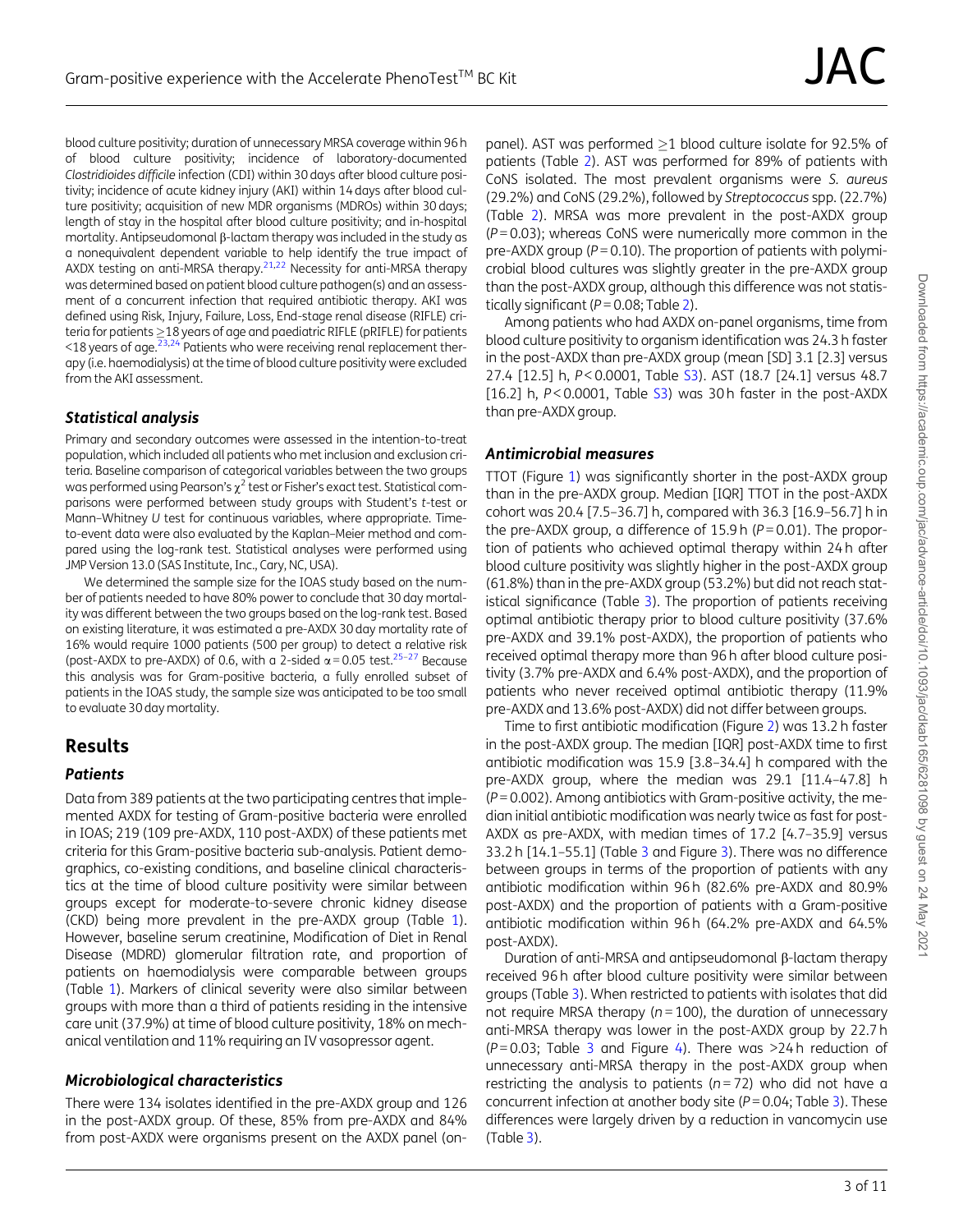<span id="page-2-0"></span>blood culture positivity; duration of unnecessary MRSA coverage within 96 h of blood culture positivity; incidence of laboratory-documented Clostridioides difficile infection (CDI) within 30 days after blood culture positivity; incidence of acute kidney injury (AKI) within 14 days after blood culture positivity; acquisition of new MDR organisms (MDROs) within 30 days; length of stay in the hospital after blood culture positivity; and in-hospital mortality. Antipseudomonal  $\beta$ -lactam therapy was included in the study as a nonequivalent dependent variable to help identify the true impact of AXDX testing on anti-MRSA therapy.<sup>21,22</sup> Necessity for anti-MRSA therapy was determined based on patient blood culture pathogen(s) and an assessment of a concurrent infection that required antibiotic therapy. AKI was defined using Risk, Injury, Failure, Loss, End-stage renal disease (RIFLE) criteria for patients  $\geq$  18 years of age and paediatric RIFLE (pRIFLE) for patients  $\leq$ 18 years of age.<sup>23,24</sup> Patients who were receiving renal replacement therapy (i.e. haemodialysis) at the time of blood culture positivity were excluded from the AKI assessment.

### Statistical analysis

Primary and secondary outcomes were assessed in the intention-to-treat population, which included all patients who met inclusion and exclusion criteria. Baseline comparison of categorical variables between the two groups was performed using Pearson's  $\chi^2$  test or Fisher's exact test. Statistical comparisons were performed between study groups with Student's t-test or Mann–Whitney U test for continuous variables, where appropriate. Timeto-event data were also evaluated by the Kaplan–Meier method and compared using the log-rank test. Statistical analyses were performed using JMP Version 13.0 (SAS Institute, Inc., Cary, NC, USA).

We determined the sample size for the IOAS study based on the number of patients needed to have 80% power to conclude that 30 day mortality was different between the two groups based on the log-rank test. Based on existing literature, it was estimated a pre-AXDX 30 day mortality rate of 16% would require 1000 patients (500 per group) to detect a relative risk (post-AXDX to pre-AXDX) of 0.6, with a 2-sided  $\alpha$  = 0.05 test.<sup>25-27</sup> Because this analysis was for Gram-positive bacteria, a fully enrolled subset of patients in the IOAS study, the sample size was anticipated to be too small to evaluate 30 day mortality.

### Results

#### **Patients**

Data from 389 patients at the two participating centres that implemented AXDX for testing of Gram-positive bacteria were enrolled in IOAS; 219 (109 pre-AXDX, 110 post-AXDX) of these patients met criteria for this Gram-positive bacteria sub-analysis. Patient demographics, co-existing conditions, and baseline clinical characteristics at the time of blood culture positivity were similar between groups except for moderate-to-severe chronic kidney disease (CKD) being more prevalent in the pre-AXDX group (Table [1\)](#page-3-0). However, baseline serum creatinine, Modification of Diet in Renal Disease (MDRD) glomerular filtration rate, and proportion of patients on haemodialysis were comparable between groups (Table [1\)](#page-3-0). Markers of clinical severity were also similar between groups with more than a third of patients residing in the intensive care unit (37.9%) at time of blood culture positivity, 18% on mechanical ventilation and 11% requiring an IV vasopressor agent.

#### Microbiological characteristics

There were 134 isolates identified in the pre-AXDX group and 126 in the post-AXDX group. Of these, 85% from pre-AXDX and 84% from post-AXDX were organisms present on the AXDX panel (onpanel). AST was performed  $>1$  blood culture isolate for 92.5% of patients (Table [2\)](#page-4-0). AST was performed for 89% of patients with CoNS isolated. The most prevalent organisms were S. aureus (29.2%) and CoNS (29.2%), followed by Streptococcus spp. (22.7%) (Table [2](#page-4-0)). MRSA was more prevalent in the post-AXDX group  $(P=0.03)$ ; whereas CoNS were numerically more common in the pre-AXDX group ( $P = 0.10$ ). The proportion of patients with polymicrobial blood cultures was slightly greater in the pre-AXDX group than the post-AXDX group, although this difference was not statistically significant ( $P = 0.08$ ; Table [2](#page-4-0)).

Among patients who had AXDX on-panel organisms, time from blood culture positivity to organism identification was 24.3 h faster in the post-AXDX than pre-AXDX group (mean [SD] 3.1 [2.3] versus 27.4 [12.5] h, P<0.0001, Table [S3\)](https://academic.oup.com/jac/article-lookup/doi/10.1093/jac/dkab165#supplementary-data). AST (18.7 [24.1] versus 48.7 [16.2] h,  $P < 0.0001$ , Table  $S3$ ) was 30 h faster in the post-AXDX than pre-AXDX group.

#### Antimicrobial measures

TTOT (Figure [1](#page-5-0)) was significantly shorter in the post-AXDX group than in the pre-AXDX group. Median [IQR] TTOT in the post-AXDX cohort was 20.4 [7.5–36.7] h, compared with 36.3 [16.9–56.7] h in the pre-AXDX group, a difference of  $15.9$  h ( $P = 0.01$ ). The proportion of patients who achieved optimal therapy within 24 h after blood culture positivity was slightly higher in the post-AXDX group (61.8%) than in the pre-AXDX group (53.2%) but did not reach statistical significance (Table [3\)](#page-5-0). The proportion of patients receiving optimal antibiotic therapy prior to blood culture positivity (37.6% pre-AXDX and 39.1% post-AXDX), the proportion of patients who received optimal therapy more than 96 h after blood culture positivity (3.7% pre-AXDX and 6.4% post-AXDX), and the proportion of patients who never received optimal antibiotic therapy (11.9% pre-AXDX and 13.6% post-AXDX) did not differ between groups.

Time to first antibiotic modification (Figure [2\)](#page-6-0) was 13.2 h faster in the post-AXDX group. The median [IQR] post-AXDX time to first antibiotic modification was 15.9 [3.8–34.4] h compared with the pre-AXDX group, where the median was 29.1 [11.4–47.8] h  $(P = 0.002)$ . Among antibiotics with Gram-positive activity, the median initial antibiotic modification was nearly twice as fast for post-AXDX as pre-AXDX, with median times of 17.2 [4.7–35.9] versus 33.2 h [14.1–55.1] (Table [3](#page-5-0) and Figure [3\)](#page-6-0). There was no difference between groups in terms of the proportion of patients with any antibiotic modification within 96 h (82.6% pre-AXDX and 80.9% post-AXDX) and the proportion of patients with a Gram-positive antibiotic modification within 96 h (64.2% pre-AXDX and 64.5% post-AXDX).

Duration of anti-MRSA and antipseudomonal  $\beta$ -lactam therapy received 96 h after blood culture positivity were similar between groups (Table [3](#page-5-0)). When restricted to patients with isolates that did not require MRSA therapy ( $n = 100$ ), the duration of unnecessary anti-MRSA therapy was lower in the post-AXDX group by 22.7 h ( $P = 0.03$  $P = 0.03$ ; Table 3 and Figure [4\)](#page-7-0). There was  $> 24$  h reduction of unnecessary anti-MRSA therapy in the post-AXDX group when restricting the analysis to patients ( $n = 72$ ) who did not have a concurrent infection at another body site ( $P = 0.04$ ; Table [3\)](#page-5-0). These differences were largely driven by a reduction in vancomycin use (Table [3\)](#page-5-0).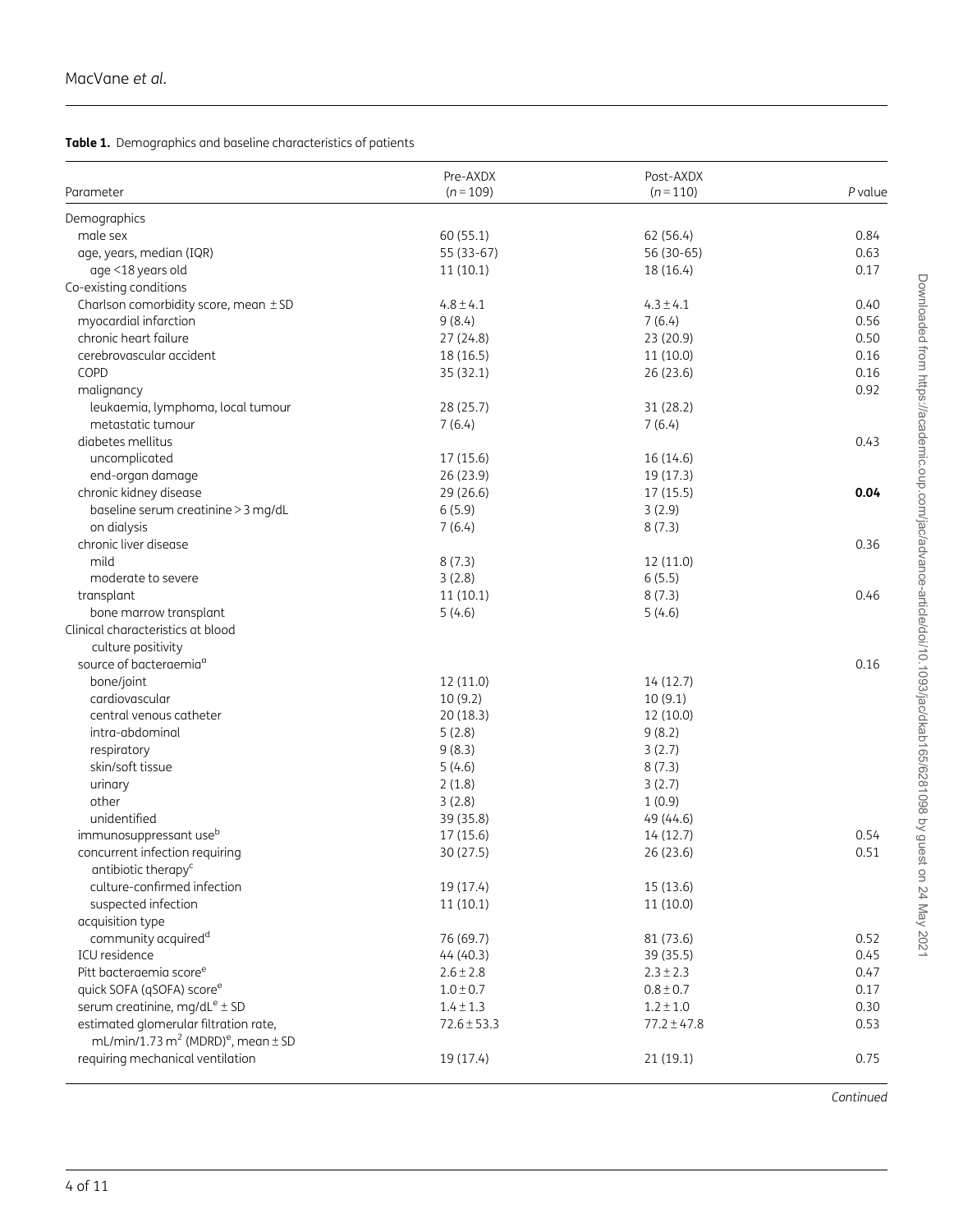#### <span id="page-3-0"></span>Table 1. Demographics and baseline characteristics of patients

| Parameter                                                      | Pre-AXDX<br>$(n = 109)$ | Post-AXDX<br>$(n=110)$ | $P$ value |
|----------------------------------------------------------------|-------------------------|------------------------|-----------|
| Demographics                                                   |                         |                        |           |
| male sex                                                       | 60 (55.1)               | 62 (56.4)              | 0.84      |
| age, years, median (IQR)                                       | 55 (33-67)              | 56 (30-65)             | 0.63      |
| age <18 years old                                              | 11(10.1)                | 18 (16.4)              | 0.17      |
|                                                                |                         |                        |           |
| Co-existing conditions                                         |                         |                        |           |
| Charlson comorbidity score, mean ± SD                          | $4.8 \pm 4.1$           | $4.3 \pm 4.1$          | 0.40      |
| myocardial infarction                                          | 9(8.4)                  | 7(6.4)                 | 0.56      |
| chronic heart failure                                          | 27 (24.8)               | 23 (20.9)              | 0.50      |
| cerebrovascular accident                                       | 18 (16.5)               | 11(10.0)               | 0.16      |
| COPD                                                           | 35 (32.1)               | 26 (23.6)              | 0.16      |
| malignancy                                                     |                         |                        | 0.92      |
| leukaemia, lymphoma, local tumour                              | 28 (25.7)               | 31 (28.2)              |           |
| metastatic tumour                                              | 7(6.4)                  | 7(6.4)                 |           |
| diabetes mellitus                                              |                         |                        | 0.43      |
| uncomplicated                                                  | 17 (15.6)               | 16 (14.6)              |           |
| end-organ damage                                               | 26 (23.9)               | 19 (17.3)              |           |
| chronic kidney disease                                         | 29 (26.6)               | 17(15.5)               | 0.04      |
| baseline serum creatinine > 3 mg/dL                            | 6(5.9)                  | 3(2.9)                 |           |
| on dialysis                                                    | 7(6.4)                  | 8(7.3)                 |           |
| chronic liver disease                                          |                         |                        | 0.36      |
| mild                                                           | 8(7.3)                  | 12 (11.0)              |           |
| moderate to severe                                             | 3(2.8)                  | 6(5.5)                 |           |
| transplant                                                     | 11(10.1)                | 8(7.3)                 | 0.46      |
| bone marrow transplant                                         | 5(4.6)                  | 5(4.6)                 |           |
| Clinical characteristics at blood                              |                         |                        |           |
| culture positivity                                             |                         |                        |           |
| source of bacteraemia <sup>a</sup>                             |                         |                        | 0.16      |
| bone/joint                                                     | 12 (11.0)               | 14(12.7)               |           |
| cardiovascular                                                 | 10(9.2)                 | 10(9.1)                |           |
| central venous catheter                                        | 20(18.3)                | 12 (10.0)              |           |
| intra-abdominal                                                | 5(2.8)                  | 9(8.2)                 |           |
| respiratory                                                    | 9(8.3)                  | 3(2.7)                 |           |
| skin/soft tissue                                               | 5(4.6)                  | 8(7.3)                 |           |
| urinary                                                        | 2(1.8)                  | 3(2.7)                 |           |
| other                                                          | 3(2.8)                  | 1(0.9)                 |           |
| unidentified                                                   | 39 (35.8)               | 49 (44.6)              |           |
| immunosuppressant use <sup>b</sup>                             | 17 (15.6)               | 14 (12.7)              | 0.54      |
| concurrent infection requiring                                 | 30 (27.5)               | 26 (23.6)              | 0.51      |
| antibiotic therapy <sup>c</sup>                                |                         |                        |           |
| culture-confirmed infection                                    | 19 (17.4)               | 15 (13.6)              |           |
| suspected infection                                            | 11(10.1)                | 11(10.0)               |           |
| acquisition type                                               |                         |                        |           |
| community acquired <sup>d</sup>                                | 76 (69.7)               | 81 (73.6)              | 0.52      |
| ICU residence                                                  | 44 (40.3)               | 39 (35.5)              | 0.45      |
| Pitt bacteraemia score <sup>e</sup>                            | $2.6 \pm 2.8$           | $2.3 \pm 2.3$          | 0.47      |
| quick SOFA (qSOFA) score <sup>e</sup>                          | $1.0 \pm 0.7$           | $0.8 \pm 0.7$          | 0.17      |
| serum creatinine, mg/dL <sup>e</sup> ± SD                      | $1.4 \pm 1.3$           | $1.2 \pm 1.0$          | 0.30      |
| estimated glomerular filtration rate,                          | $72.6 \pm 53.3$         | $77.2 \pm 47.8$        | 0.53      |
| mL/min/1.73 m <sup>2</sup> (MDRD) <sup>e</sup> , mean $\pm$ SD |                         |                        |           |
| requiring mechanical ventilation                               | 19 (17.4)               | 21 (19.1)              | 0.75      |
|                                                                |                         |                        |           |

Downloaded from https://academic.oup.com/jac/advance-article/doi/10.1093/jac/dkab165/6281098 by guest on 24 May 2021 Downloaded from https://academic.oup.com/jac/advance-article/doi/10.1093/jac/dkab165/6281098 by guest on 24 May 2021

Continued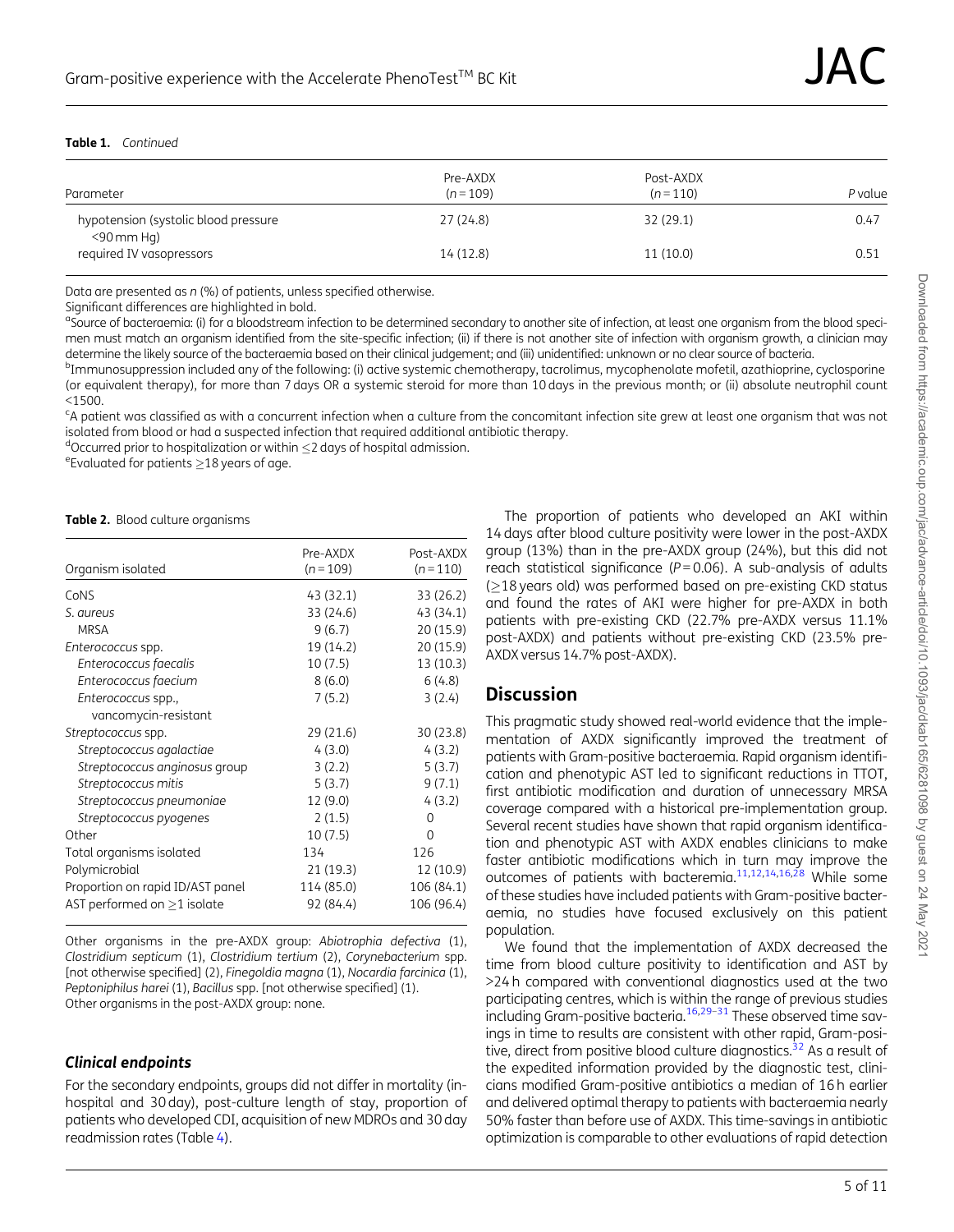#### <span id="page-4-0"></span>Table 1. Continued

| Parameter                                             | Pre-AXDX<br>$(n=109)$ | Post-AXDX<br>$(n=110)$ | P value |
|-------------------------------------------------------|-----------------------|------------------------|---------|
| hypotension (systolic blood pressure<br>$<$ 90 mm Hg) | 27 (24.8)             | 32 (29.1)              | 0.47    |
| required IV vasopressors                              | 14 (12.8)             | 11 (10.0)              | 0.51    |

Data are presented as n (%) of patients, unless specified otherwise.

Significant differences are highlighted in bold.

<sup>a</sup>Source of bacteraemia: (i) for a bloodstream infection to be determined secondary to another site of infection, at least one organism from the blood specimen must match an organism identified from the site-specific infection; (ii) if there is not another site of infection with organism growth, a clinician may determine the likely source of the bacteraemia based on their clinical judgement; and (iii) unidentified: unknown or no clear source of bacteria.

<sup>b</sup>Immunosuppression included any of the following: (i) active systemic chemotherapy, tacrolimus, mycophenolate mofetil, azathioprine, cyclosporine (or equivalent therapy), for more than 7 days OR a systemic steroid for more than 10 days in the previous month; or (ii) absolute neutrophil count  $<$ 1500.

<sup>c</sup>A patient was classified as with a concurrent infection when a culture from the concomitant infection site grew at least one organism that was not isolated from blood or had a suspected infection that required additional antibiotic therapy.

<sup>d</sup>Occurred prior to hospitalization or within  $\leq$  2 days of hospital admission.<br><sup>eEvoluated for patients >18 years of age</sup>

 $e^{\text{e}}$ Evaluated for patients  $\geq$ 18 years of age.

#### Table 2. Blood culture organisms

| Organism isolated                | Pre-AXDX<br>$(n = 109)$ | Post-AXDX<br>$(n=110)$ |
|----------------------------------|-------------------------|------------------------|
| CoNS                             | 43 (32.1)               | 33 (26.2)              |
| S. aureus                        | 33 (24.6)               | 43 (34.1)              |
| <b>MRSA</b>                      | 9(6.7)                  | 20 (15.9)              |
| Enterococcus spp.                | 19 (14.2)               | 20 (15.9)              |
| Enterococcus faecalis            | 10(7.5)                 | 13 (10.3)              |
| Enterococcus faecium             | 8(6.0)                  | 6(4.8)                 |
| Enterococcus spp.,               | 7(5.2)                  | 3(2.4)                 |
| vancomycin-resistant             |                         |                        |
| Streptococcus spp.               | 29 (21.6)               | 30 (23.8)              |
| Streptococcus agalactiae         | 4(3.0)                  | 4(3.2)                 |
| Streptococcus anginosus group    | 3(2.2)                  | 5(3.7)                 |
| Streptococcus mitis              | 5(3.7)                  | 9(7.1)                 |
| Streptococcus pneumoniae         | 12 (9.0)                | 4(3.2)                 |
| Streptococcus pyogenes           | 2(1.5)                  | $\Omega$               |
| Other                            | 10(7.5)                 | $\Omega$               |
| Total organisms isolated         | 134                     | 126                    |
| Polymicrobial                    | 21 (19.3)               | 12 (10.9)              |
| Proportion on rapid ID/AST panel | 114 (85.0)              | 106 (84.1)             |
| AST performed on $>1$ isolate    | 92 (84.4)               | 106 (96.4)             |

Other organisms in the pre-AXDX group: Abiotrophia defectiva (1), Clostridium septicum (1), Clostridium tertium (2), Corynebacterium spp. [not otherwise specified] (2), Finegoldia magna (1), Nocardia farcinica (1), Peptoniphilus harei (1), Bacillus spp. [not otherwise specified] (1). Other organisms in the post-AXDX group: none.

#### Clinical endpoints

For the secondary endpoints, groups did not differ in mortality (inhospital and 30 day), post-culture length of stay, proportion of patients who developed CDI, acquisition of new MDROs and 30 day readmission rates (Table [4](#page-8-0)).

The proportion of patients who developed an AKI within 14 days after blood culture positivity were lower in the post-AXDX group (13%) than in the pre-AXDX group (24%), but this did not reach statistical significance ( $P = 0.06$ ). A sub-analysis of adults  $(18 \text{ years old})$  was performed based on pre-existing CKD status and found the rates of AKI were higher for pre-AXDX in both patients with pre-existing CKD (22.7% pre-AXDX versus 11.1% post-AXDX) and patients without pre-existing CKD (23.5% pre-AXDX versus 14.7% post-AXDX).

### **Discussion**

This pragmatic study showed real-world evidence that the implementation of AXDX significantly improved the treatment of patients with Gram-positive bacteraemia. Rapid organism identification and phenotypic AST led to significant reductions in TTOT, first antibiotic modification and duration of unnecessary MRSA coverage compared with a historical pre-implementation group. Several recent studies have shown that rapid organism identification and phenotypic AST with AXDX enables clinicians to make faster antibiotic modifications which in turn may improve the outcomes of patients with bacteremia.<sup>[11,12,14,16,28](#page-9-0)</sup> While some of these studies have included patients with Gram-positive bacteraemia, no studies have focused exclusively on this patient population.

We found that the implementation of AXDX decreased the time from blood culture positivity to identification and AST by >24 h compared with conventional diagnostics used at the two participating centres, which is within the range of previous studies including Gram-positive bacteria.<sup>[16](#page-9-0),29-31</sup> These observed time savings in time to results are consistent with other rapid, Gram-positive, direct from positive blood culture diagnostics. $32$  As a result of the expedited information provided by the diagnostic test, clinicians modified Gram-positive antibiotics a median of 16 h earlier and delivered optimal therapy to patients with bacteraemia nearly 50% faster than before use of AXDX. This time-savings in antibiotic optimization is comparable to other evaluations of rapid detection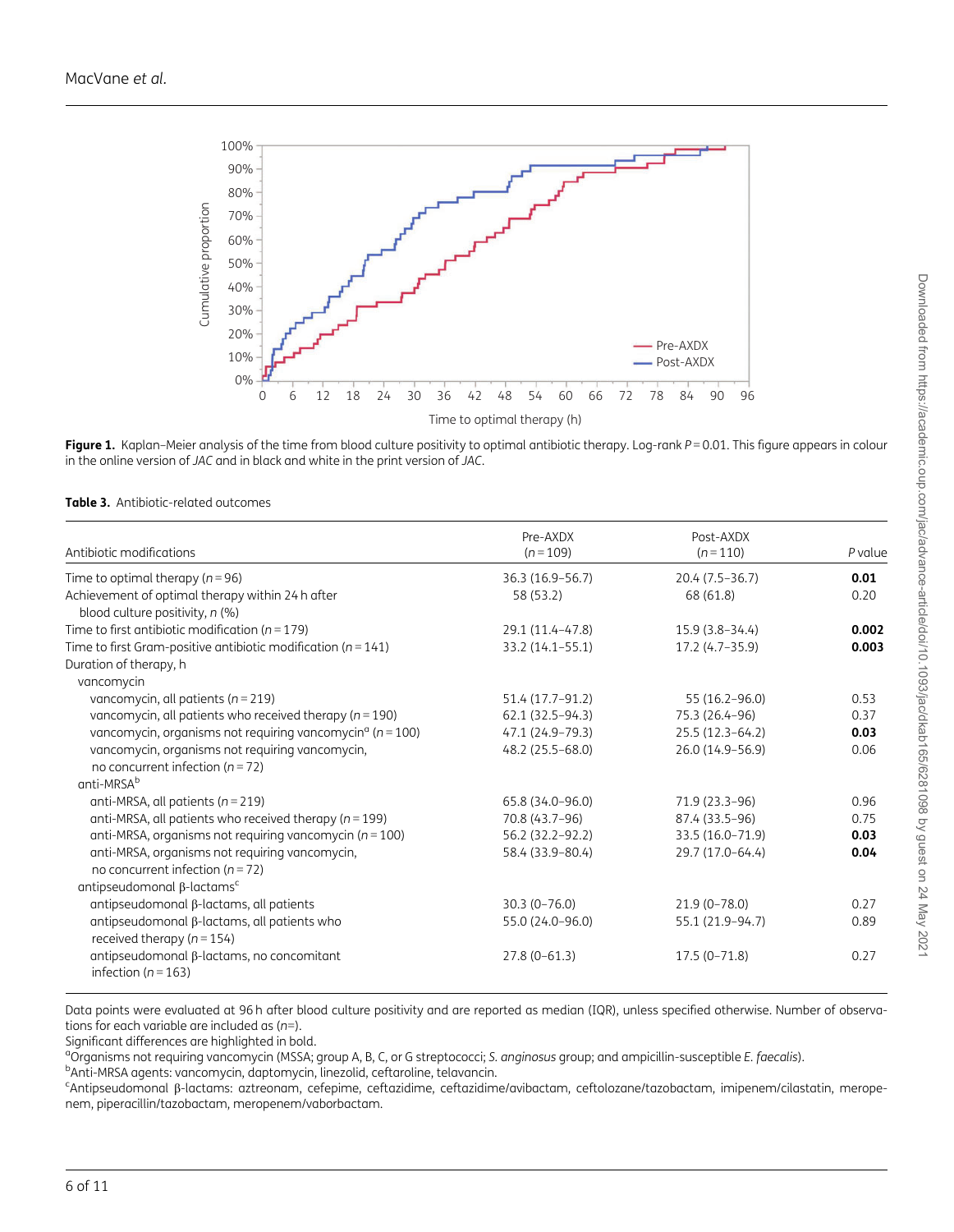<span id="page-5-0"></span>

Figure 1. Kaplan-Meier analysis of the time from blood culture positivity to optimal antibiotic therapy. Log-rank P = 0.01. This figure appears in colour in the online version of JAC and in black and white in the print version of JAC.

|  | <b>Table 3.</b> Antibiotic-related outcomes |  |
|--|---------------------------------------------|--|
|--|---------------------------------------------|--|

| Antibiotic modifications                                                                    | Pre-AXDX<br>$(n = 109)$ | Post-AXDX<br>$(n=110)$ | P value |
|---------------------------------------------------------------------------------------------|-------------------------|------------------------|---------|
|                                                                                             |                         |                        |         |
| Time to optimal therapy ( $n = 96$ )                                                        | 36.3 (16.9-56.7)        | $20.4(7.5-36.7)$       | 0.01    |
| Achievement of optimal therapy within 24 h after                                            | 58 (53.2)               | 68 (61.8)              | 0.20    |
| blood culture positivity, n (%)                                                             |                         |                        |         |
| Time to first antibiotic modification ( $n = 179$ )                                         | 29.1 (11.4-47.8)        | $15.9(3.8-34.4)$       | 0.002   |
| Time to first Gram-positive antibiotic modification ( $n = 141$ )                           | 33.2 (14.1-55.1)        | 17.2 (4.7-35.9)        | 0.003   |
| Duration of therapy, h                                                                      |                         |                        |         |
| vancomycin                                                                                  |                         |                        |         |
| vancomycin, all patients ( $n = 219$ )                                                      | 51.4 (17.7-91.2)        | 55 (16.2-96.0)         | 0.53    |
| vancomycin, all patients who received therapy ( $n = 190$ )                                 | 62.1 (32.5-94.3)        | 75.3 (26.4-96)         | 0.37    |
| vancomycin, organisms not requiring vancomycin <sup><math>\alpha</math></sup> ( $n = 100$ ) | 47.1 (24.9-79.3)        | $25.5(12.3-64.2)$      | 0.03    |
| vancomycin, organisms not requiring vancomycin,                                             | 48.2 (25.5-68.0)        | 26.0 (14.9-56.9)       | 0.06    |
| no concurrent infection ( $n = 72$ )                                                        |                         |                        |         |
| anti-MRSA <sup>b</sup>                                                                      |                         |                        |         |
| anti-MRSA, all patients ( $n = 219$ )                                                       | 65.8 (34.0-96.0)        | 71.9 (23.3-96)         | 0.96    |
| anti-MRSA, all patients who received therapy ( $n = 199$ )                                  | 70.8 (43.7-96)          | 87.4 (33.5-96)         | 0.75    |
| anti-MRSA, organisms not requiring vancomycin ( $n = 100$ )                                 | 56.2 (32.2-92.2)        | 33.5 (16.0-71.9)       | 0.03    |
| anti-MRSA, organisms not requiring vancomycin,                                              | 58.4 (33.9-80.4)        | 29.7 (17.0-64.4)       | 0.04    |
| no concurrent infection ( $n = 72$ )                                                        |                         |                        |         |
| antipseudomonal $\beta$ -lactams <sup>c</sup>                                               |                         |                        |         |
| antipseudomonal $\beta$ -lactams, all patients                                              | $30.3(0 - 76.0)$        | $21.9(0 - 78.0)$       | 0.27    |
| antipseudomonal β-lactams, all patients who                                                 | 55.0 (24.0-96.0)        | 55.1 (21.9-94.7)       | 0.89    |
| received therapy ( $n = 154$ )                                                              |                         |                        |         |
| antipseudomonal β-lactams, no concomitant<br>infection ( $n = 163$ )                        | $27.8(0-61.3)$          | $17.5(0 - 71.8)$       | 0.27    |

Data points were evaluated at 96 h after blood culture positivity and are reported as median (IQR), unless specified otherwise. Number of observations for each variable are included as  $(n=)$ .

Significant differences are highlighted in bold.

<sup>a</sup>Organisms not requiring vancomycin (MSSA; group A, B, C, or G streptococci; S. *anginosus* group; and ampicillin-susceptible E. faecalis).<br>PApti-MPSA ggents: vancomycin, dantomycin, linezolid, ceftaroline, televancin. <sup>b</sup>Anti-MRSA agents: vancomycin, daptomycin, linezolid, ceftaroline, telavancin.

<sup>c</sup>Antipseudomonal B-lactams: aztreonam, cefepime, ceftazidime, ceftazidime/avibactam, ceftolozane/tazobactam, imipenem/cilastatin, meropenem, piperacillin/tazobactam, meropenem/vaborbactam.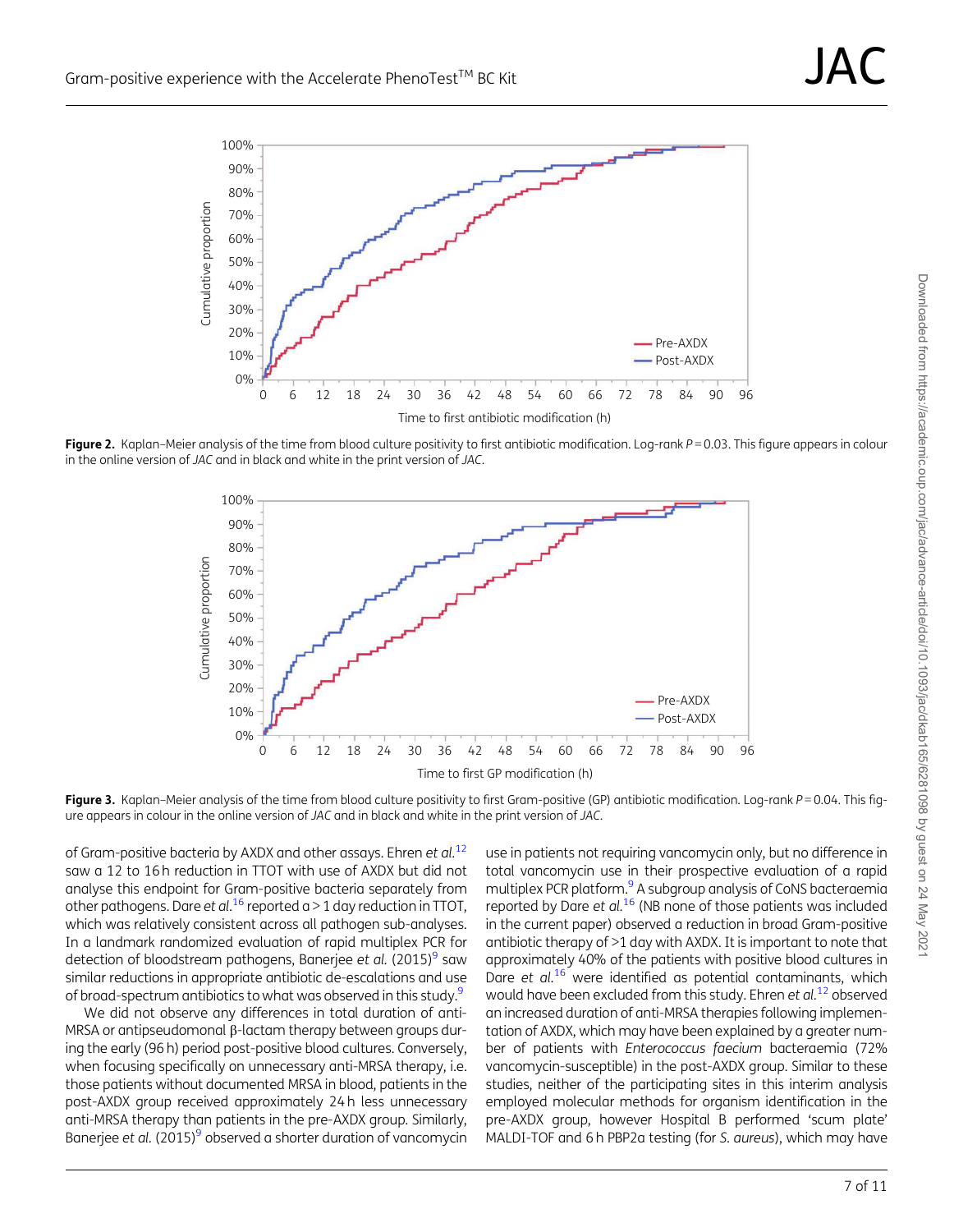<span id="page-6-0"></span>

Figure 2. Kaplan–Meier analysis of the time from blood culture positivity to first antibiotic modification. Log-rank  $P = 0.03$ . This figure appears in colour in the online version of JAC and in black and white in the print version of JAC.



Figure 3. Kaplan-Meier analysis of the time from blood culture positivity to first Gram-positive (GP) antibiotic modification. Log-rank  $P = 0.04$ . This figure appears in colour in the online version of JAC and in black and white in the print version of JAC.

of Gram-positive bacteria by AXDX and other assays. Ehren et al.<sup>[12](#page-9-0)</sup> saw a 12 to 16 h reduction in TTOT with use of AXDX but did not analyse this endpoint for Gram-positive bacteria separately from other pathogens. Dare et al.<sup>[16](#page-9-0)</sup> reported a > 1 day reduction in TTOT, which was relatively consistent across all pathogen sub-analyses. In a landmark randomized evaluation of rapid multiplex PCR for detection of bloodstream pathogens, Banerjee et al. (2015) $9$  saw similar reductions in appropriate antibiotic de-escalations and use of broad-spectrum antibiotics to what was observed in this study.<sup>9</sup>

We did not observe any differences in total duration of anti-MRSA or antipseudomonal  $\beta$ -lactam therapy between groups during the early (96 h) period post-positive blood cultures. Conversely, when focusing specifically on unnecessary anti-MRSA therapy, i.e. those patients without documented MRSA in blood, patients in the post-AXDX group received approximately 24 h less unnecessary anti-MRSA therapy than patients in the pre-AXDX group. Similarly, Banerjee et al. (2015)<sup>[9](#page-9-0)</sup> observed a shorter duration of vancomycin

use in patients not requiring vancomycin only, but no difference in total vancomycin use in their prospective evaluation of a rapid multiplex PCR platform.<sup>9</sup> A subgroup analysis of CoNS bacteraemia reported by Dare et  $al^{16}$  $al^{16}$  $al^{16}$  (NB none of those patients was included in the current paper) observed a reduction in broad Gram-positive antibiotic therapy of >1 day with AXDX. It is important to note that approximately 40% of the patients with positive blood cultures in Dare et al.<sup>[16](#page-9-0)</sup> were identified as potential contaminants, which would have been excluded from this study. Ehren et  $al^{12}$  $al^{12}$  $al^{12}$  observed an increased duration of anti-MRSA therapies following implementation of AXDX, which may have been explained by a greater number of patients with Enterococcus faecium bacteraemia (72% vancomycin-susceptible) in the post-AXDX group. Similar to these studies, neither of the participating sites in this interim analysis employed molecular methods for organism identification in the pre-AXDX group, however Hospital B performed 'scum plate' MALDI-TOF and 6 h PBP2a testing (for S. aureus), which may have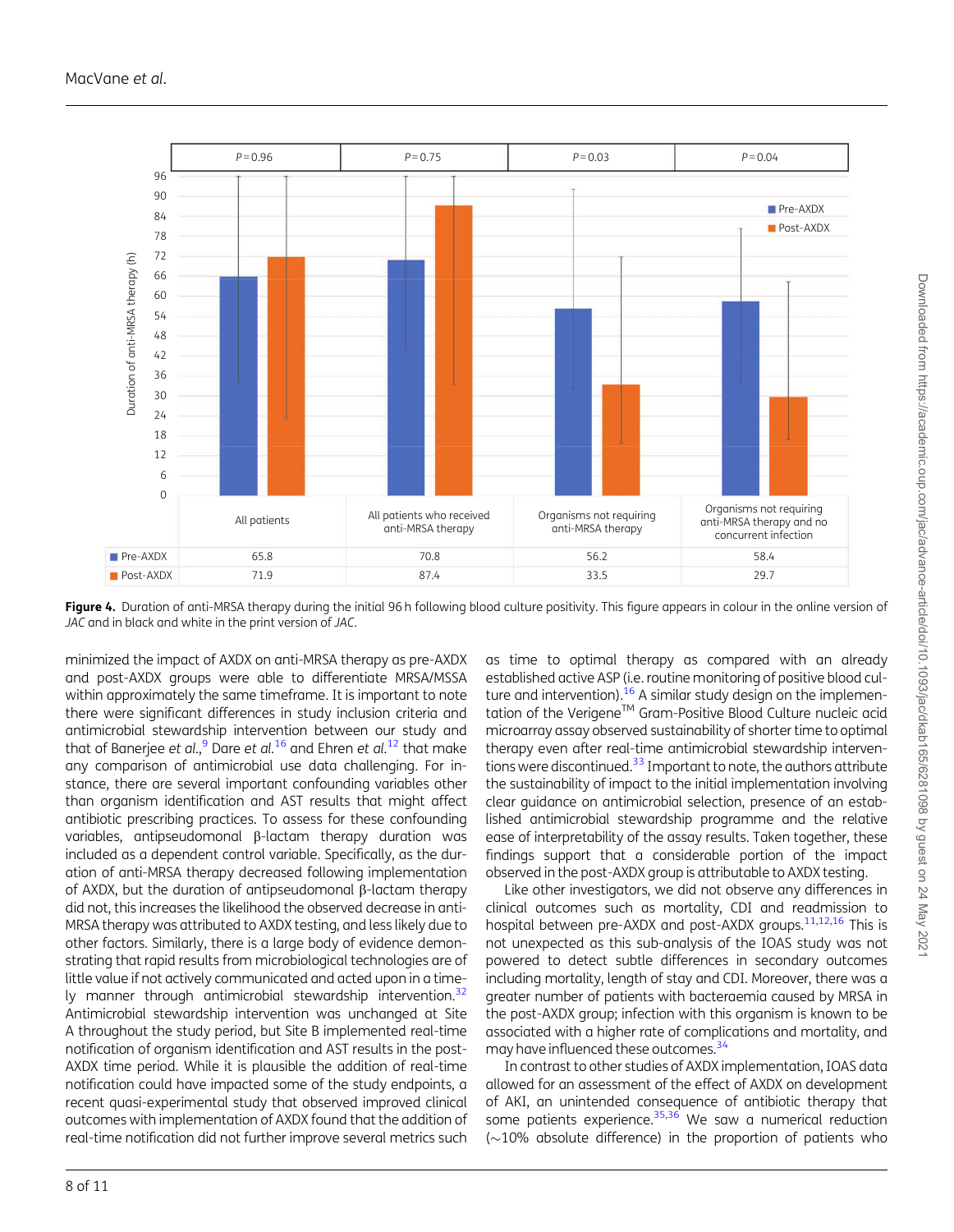<span id="page-7-0"></span>

Figure 4. Duration of anti-MRSA therapy during the initial 96 h following blood culture positivity. This figure appears in colour in the online version of JAC and in black and white in the print version of JAC.

minimized the impact of AXDX on anti-MRSA therapy as pre-AXDX and post-AXDX groups were able to differentiate MRSA/MSSA within approximately the same timeframe. It is important to note there were significant differences in study inclusion criteria and antimicrobial stewardship intervention between our study and that of Banerjee et al.,<sup>[9](#page-9-0)</sup> Dare et al.<sup>[16](#page-9-0)</sup> and Ehren et al.<sup>[12](#page-9-0)</sup> that make any comparison of antimicrobial use data challenging. For instance, there are several important confounding variables other than organism identification and AST results that might affect antibiotic prescribing practices. To assess for these confounding variables, antipseudomonal  $\beta$ -lactam therapy duration was included as a dependent control variable. Specifically, as the duration of anti-MRSA therapy decreased following implementation of AXDX, but the duration of antipseudomonal  $\beta$ -lactam therapy did not, this increases the likelihood the observed decrease in anti-MRSA therapy was attributed to AXDX testing, and less likely due to other factors. Similarly, there is a large body of evidence demonstrating that rapid results from microbiological technologies are of little value if not actively communicated and acted upon in a timely manner through antimicrobial stewardship intervention.<sup>32</sup> Antimicrobial stewardship intervention was unchanged at Site A throughout the study period, but Site B implemented real-time notification of organism identification and AST results in the post-AXDX time period. While it is plausible the addition of real-time notification could have impacted some of the study endpoints, a recent quasi-experimental study that observed improved clinical outcomes with implementation of AXDX found that the addition of real-time notification did not further improve several metrics such

as time to optimal therapy as compared with an already established active ASP (i.e. routine monitoring of positive blood culture and intervention).<sup>16</sup> A similar study design on the implementation of the Verigene™ Gram-Positive Blood Culture nucleic acid microarray assay observed sustainability of shorter time to optimal therapy even after real-time antimicrobial stewardship interventions were discontinued. $33$  Important to note, the authors attribute the sustainability of impact to the initial implementation involving clear guidance on antimicrobial selection, presence of an established antimicrobial stewardship programme and the relative ease of interpretability of the assay results. Taken together, these findings support that a considerable portion of the impact observed in the post-AXDX group is attributable to AXDX testing.

Like other investigators, we did not observe any differences in clinical outcomes such as mortality, CDI and readmission to hospital between pre-AXDX and post-AXDX groups.<sup>11,12,[16](#page-9-0)</sup> This is not unexpected as this sub-analysis of the IOAS study was not powered to detect subtle differences in secondary outcomes including mortality, length of stay and CDI. Moreover, there was a greater number of patients with bacteraemia caused by MRSA in the post-AXDX group; infection with this organism is known to be associated with a higher rate of complications and mortality, and may have influenced these outcomes.<sup>34</sup>

In contrast to other studies of AXDX implementation, IOAS data allowed for an assessment of the effect of AXDX on development of AKI, an unintended consequence of antibiotic therapy that some patients experience. $35,36$  $35,36$  $35,36$  We saw a numerical reduction  $(\sim)10\%$  absolute difference) in the proportion of patients who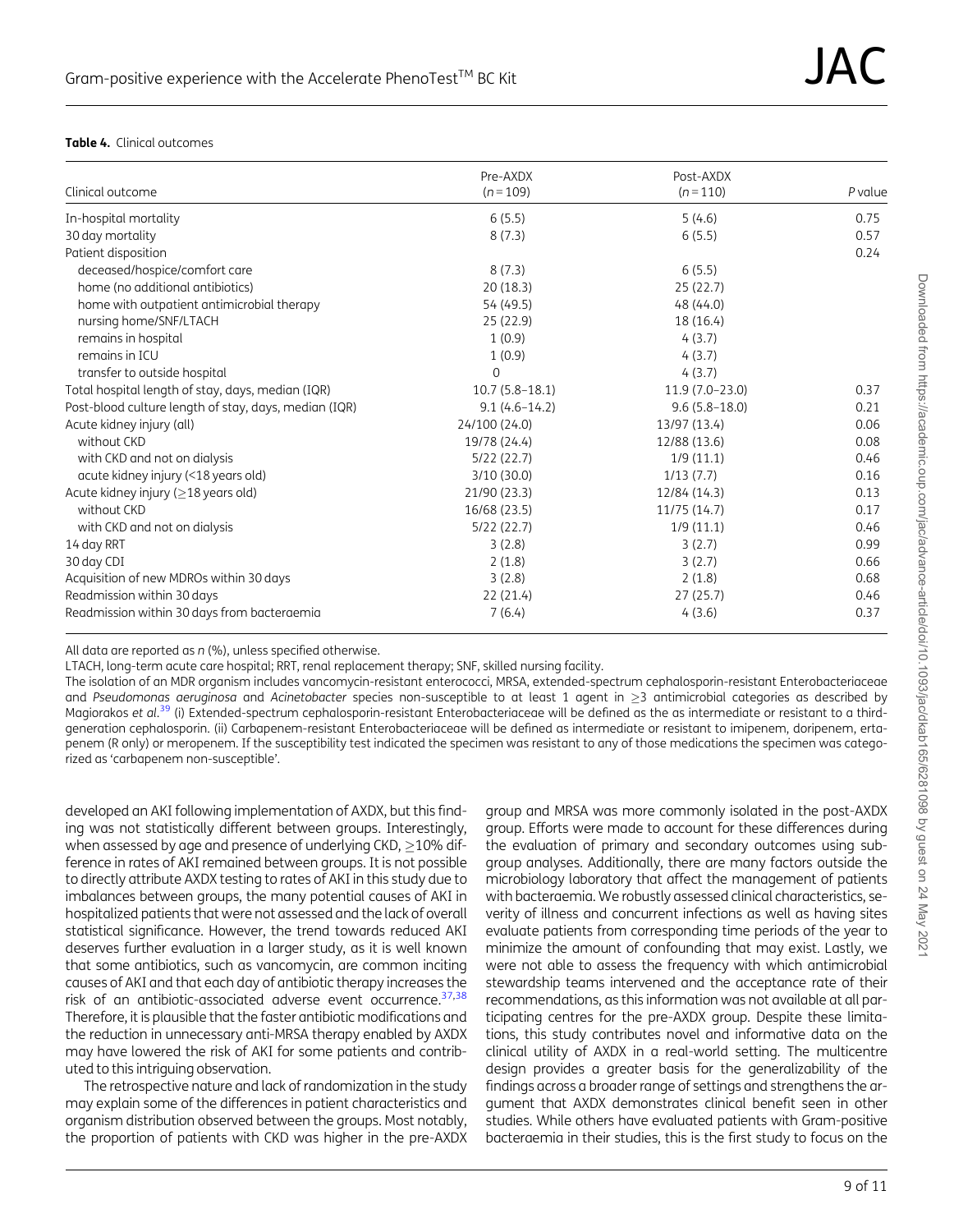#### <span id="page-8-0"></span>Table 4. Clinical outcomes

|                                                       | Pre-AXDX         | Post-AXDX         |         |
|-------------------------------------------------------|------------------|-------------------|---------|
| Clinical outcome                                      | $(n = 109)$      | $(n=110)$         | P value |
| In-hospital mortality                                 | 6(5.5)           | 5(4.6)            | 0.75    |
| 30 day mortality                                      | 8(7.3)           | 6(5.5)            | 0.57    |
| Patient disposition                                   |                  |                   | 0.24    |
| deceased/hospice/comfort care                         | 8(7.3)           | 6(5.5)            |         |
| home (no additional antibiotics)                      | 20(18.3)         | 25(22.7)          |         |
| home with outpatient antimicrobial therapy            | 54 (49.5)        | 48 (44.0)         |         |
| nursing home/SNF/LTACH                                | 25 (22.9)        | 18 (16.4)         |         |
| remains in hospital                                   | 1(0.9)           | 4(3.7)            |         |
| remains in ICU                                        | 1(0.9)           | 4(3.7)            |         |
| transfer to outside hospital                          | $\Omega$         | 4(3.7)            |         |
| Total hospital length of stay, days, median (IQR)     | $10.7(5.8-18.1)$ | $11.9(7.0-23.0)$  | 0.37    |
| Post-blood culture length of stay, days, median (IQR) | $9.1(4.6-14.2)$  | $9.6(5.8 - 18.0)$ | 0.21    |
| Acute kidney injury (all)                             | 24/100 (24.0)    | 13/97 (13.4)      | 0.06    |
| without CKD                                           | 19/78 (24.4)     | 12/88 (13.6)      | 0.08    |
| with CKD and not on dialysis                          | 5/22(22.7)       | 1/9(11.1)         | 0.46    |
| acute kidney injury (<18 years old)                   | 3/10(30.0)       | 1/13(7.7)         | 0.16    |
| Acute kidney injury (>18 years old)                   | 21/90 (23.3)     | 12/84 (14.3)      | 0.13    |
| without CKD                                           | 16/68 (23.5)     | 11/75 (14.7)      | 0.17    |
| with CKD and not on dialysis                          | 5/22(22.7)       | 1/9(11.1)         | 0.46    |
| 14 day RRT                                            | 3(2.8)           | 3(2.7)            | 0.99    |
| 30 day CDI                                            | 2(1.8)           | 3(2.7)            | 0.66    |
| Acquisition of new MDROs within 30 days               | 3(2.8)           | 2(1.8)            | 0.68    |
| Readmission within 30 days                            | 22 (21.4)        | 27(25.7)          | 0.46    |
| Readmission within 30 days from bacteraemia           | 7(6.4)           | 4(3.6)            | 0.37    |

All data are reported as n (%), unless specified otherwise.

LTACH, long-term acute care hospital; RRT, renal replacement therapy; SNF, skilled nursing facility.

The isolation of an MDR organism includes vancomycin-resistant enterococci, MRSA, extended-spectrum cephalosporin-resistant Enterobacteriaceae and Pseudomonas aeruginosa and Acinetobacter species non-susceptible to at least 1 agent in  $\geq$ 3 antimicrobial categories as described by Magiorakos et al.<sup>[39](#page-10-0)</sup> (i) Extended-spectrum cephalosporin-resistant Enterobacteriaceae will be defined as the as intermediate or resistant to a thirdgeneration cephalosporin. (ii) Carbapenem-resistant Enterobacteriaceae will be defined as intermediate or resistant to imipenem, doripenem, ertapenem (R only) or meropenem. If the susceptibility test indicated the specimen was resistant to any of those medications the specimen was categorized as 'carbapenem non-susceptible'.

developed an AKI following implementation of AXDX, but this finding was not statistically different between groups. Interestingly, when assessed by age and presence of underlying CKD,  $>$  10% difference in rates of AKI remained between groups. It is not possible to directly attribute AXDX testing to rates of AKI in this study due to imbalances between groups, the many potential causes of AKI in hospitalized patients that were not assessed and the lack of overall statistical significance. However, the trend towards reduced AKI deserves further evaluation in a larger study, as it is well known that some antibiotics, such as vancomycin, are common inciting causes of AKI and that each day of antibiotic therapy increases the risk of an antibiotic-associated adverse event occurrence.<sup>37,38</sup> Therefore, it is plausible that the faster antibiotic modifications and the reduction in unnecessary anti-MRSA therapy enabled by AXDX may have lowered the risk of AKI for some patients and contributed to this intriguing observation.

The retrospective nature and lack of randomization in the study may explain some of the differences in patient characteristics and organism distribution observed between the groups. Most notably, the proportion of patients with CKD was higher in the pre-AXDX

group and MRSA was more commonly isolated in the post-AXDX group. Efforts were made to account for these differences during the evaluation of primary and secondary outcomes using subgroup analyses. Additionally, there are many factors outside the microbiology laboratory that affect the management of patients with bacteraemia. We robustly assessed clinical characteristics, severity of illness and concurrent infections as well as having sites evaluate patients from corresponding time periods of the year to minimize the amount of confounding that may exist. Lastly, we were not able to assess the frequency with which antimicrobial stewardship teams intervened and the acceptance rate of their recommendations, as this information was not available at all participating centres for the pre-AXDX group. Despite these limitations, this study contributes novel and informative data on the clinical utility of AXDX in a real-world setting. The multicentre design provides a greater basis for the generalizability of the findings across a broader range of settings and strengthens the argument that AXDX demonstrates clinical benefit seen in other studies. While others have evaluated patients with Gram-positive bacteraemia in their studies, this is the first study to focus on the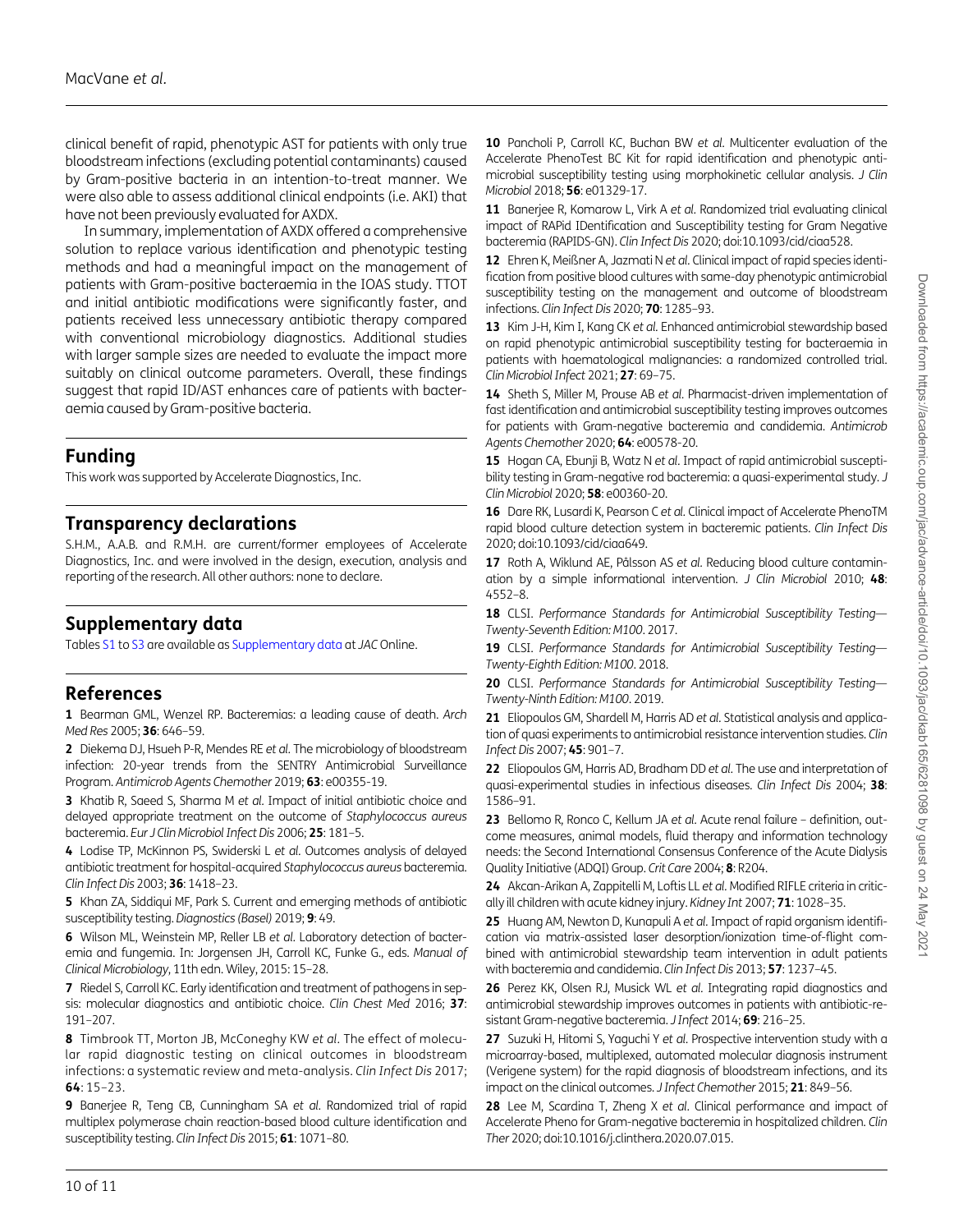<span id="page-9-0"></span>clinical benefit of rapid, phenotypic AST for patients with only true bloodstream infections (excluding potential contaminants) caused by Gram-positive bacteria in an intention-to-treat manner. We were also able to assess additional clinical endpoints (i.e. AKI) that have not been previously evaluated for AXDX.

In summary, implementation of AXDX offered a comprehensive solution to replace various identification and phenotypic testing methods and had a meaningful impact on the management of patients with Gram-positive bacteraemia in the IOAS study. TTOT and initial antibiotic modifications were significantly faster, and patients received less unnecessary antibiotic therapy compared with conventional microbiology diagnostics. Additional studies with larger sample sizes are needed to evaluate the impact more suitably on clinical outcome parameters. Overall, these findings suggest that rapid ID/AST enhances care of patients with bacteraemia caused by Gram-positive bacteria.

### Funding

This work was supported by Accelerate Diagnostics, Inc.

## Transparency declarations

S.H.M., A.A.B. and R.M.H. are current/former employees of Accelerate Diagnostics, Inc. and were involved in the design, execution, analysis and reporting of the research. All other authors: none to declare.

### Supplementary data

Tables [S1](https://academic.oup.com/jac/article-lookup/doi/10.1093/jac/dkab165#supplementary-data) to [S3](https://academic.oup.com/jac/article-lookup/doi/10.1093/jac/dkab165#supplementary-data) are available as [Supplementary data](https://academic.oup.com/jac/article-lookup/doi/10.1093/jac/dkab165#supplementary-data) at JAC Online.

### References

[1](#page-0-0) Bearman GML, Wenzel RP. Bacteremias: a leading cause of death. Arch Med Res 2005; 36: 646–59.

[2](#page-0-0) Diekema DJ, Hsueh P-R, Mendes RE et al. The microbiology of bloodstream infection: 20-year trends from the SENTRY Antimicrobial Surveillance Program. Antimicrob Agents Chemother 2019; 63: e00355-19.

[3](#page-0-0) Khatib R, Saeed S, Sharma M et al. Impact of initial antibiotic choice and delayed appropriate treatment on the outcome of Staphylococcus aureus bacteremia. Eur J Clin Microbiol Infect Dis 2006; 25: 181–5.

[4](#page-0-0) Lodise TP, McKinnon PS, Swiderski L et al. Outcomes analysis of delayed antibiotic treatment for hospital-acquired Staphylococcus aureus bacteremia. Clin Infect Dis 2003; 36: 1418–23.

[5](#page-1-0) Khan ZA, Siddiqui MF, Park S. Current and emerging methods of antibiotic susceptibility testing. Diagnostics (Basel) 2019; 9: 49.

[6](#page-1-0) Wilson ML, Weinstein MP, Reller LB et al. Laboratory detection of bacteremia and fungemia. In: Jorgensen JH, Carroll KC, Funke G., eds. Manual of Clinical Microbiology, 11th edn. Wiley, 2015: 15–28.

[7](#page-1-0) Riedel S, Carroll KC. Early identification and treatment of pathogens in sepsis: molecular diagnostics and antibiotic choice. Clin Chest Med 2016; 37: 191–207.

[8](#page-1-0) Timbrook TT, Morton JB, McConeghy KW et al. The effect of molecular rapid diagnostic testing on clinical outcomes in bloodstream infections: a systematic review and meta-analysis. Clin Infect Dis 2017; 64: 15–23.

[9](#page-1-0) Banerjee R, Teng CB, Cunningham SA et al. Randomized trial of rapid multiplex polymerase chain reaction-based blood culture identification and susceptibility testing. Clin Infect Dis 2015; 61: 1071-80.

[10](#page-1-0) Pancholi P, Carroll KC, Buchan BW et al. Multicenter evaluation of the Accelerate PhenoTest BC Kit for rapid identification and phenotypic antimicrobial susceptibility testing using morphokinetic cellular analysis. J Clin Microbiol 2018; 56: e01329-17.

[11](#page-4-0) Banerjee R, Komarow L, Virk A et al. Randomized trial evaluating clinical impact of RAPid IDentification and Susceptibility testing for Gram Negative bacteremia (RAPIDS-GN). Clin Infect Dis 2020; doi:10.1093/cid/ciaa528.

[12](#page-4-0) Ehren K, Meißner A, Jazmati N et al. Clinical impact of rapid species identification from positive blood cultures with same-day phenotypic antimicrobial susceptibility testing on the management and outcome of bloodstream infections. Clin Infect Dis 2020; 70: 1285–93.

13 Kim J-H, Kim I, Kang CK et al. Enhanced antimicrobial stewardship based on rapid phenotypic antimicrobial susceptibility testing for bacteraemia in patients with haematological malignancies: a randomized controlled trial. Clin Microbiol Infect 2021; 27: 69–75.

[14](#page-4-0) Sheth S, Miller M, Prouse AB et al. Pharmacist-driven implementation of fast identification and antimicrobial susceptibility testing improves outcomes for patients with Gram-negative bacteremia and candidemia. Antimicrob Agents Chemother 2020; 64: e00578-20.

15 Hogan CA, Ebunji B, Watz N et al. Impact of rapid antimicrobial susceptibility testing in Gram-negative rod bacteremia: a quasi-experimental study. J Clin Microbiol 2020; 58: e00360-20.

[16](#page-4-0) Dare RK, Lusardi K, Pearson C et al. Clinical impact of Accelerate PhenoTM rapid blood culture detection system in bacteremic patients. Clin Infect Dis 2020; doi:10.1093/cid/ciaa649.

[17](#page-1-0) Roth A, Wiklund AE, Pålsson AS et al. Reducing blood culture contamination by a simple informational intervention.  $J$  Clin Microbiol 2010; 48: 4552–8.

18 CLSI. Performance Standards for Antimicrobial Susceptibility Testing-Twenty-Seventh Edition: M100. 2017.

19 CLSI. Performance Standards for Antimicrobial Susceptibility Testing-Twenty-Eighth Edition: M100. 2018.

20 CLSI. Performance Standards for Antimicrobial Susceptibility Testing-Twenty-Ninth Edition: M100. 2019.

[21](#page-2-0) Eliopoulos GM, Shardell M, Harris AD et al. Statistical analysis and application of quasi experiments to antimicrobial resistance intervention studies. Clin Infect Dis 2007; 45: 901–7.

[22](#page-2-0) Eliopoulos GM, Harris AD, Bradham DD et al. The use and interpretation of quasi-experimental studies in infectious diseases. Clin Infect Dis 2004; 38: 1586–91.

[23](#page-2-0) Bellomo R, Ronco C, Kellum JA et al. Acute renal failure - definition, outcome measures, animal models, fluid therapy and information technology needs: the Second International Consensus Conference of the Acute Dialysis Quality Initiative (ADQI) Group. Crit Care 2004; 8: R204.

[24](#page-2-0) Akcan-Arikan A, Zappitelli M, Loftis LL et al. Modified RIFLE criteria in critically ill children with acute kidney injury. Kidney Int 2007; 71: 1028–35.

25 Huang AM, Newton D, Kunapuli A et al. Impact of rapid organism identification via matrix-assisted laser desorption/ionization time-of-flight combined with antimicrobial stewardship team intervention in adult patients with bacteremia and candidemia. Clin Infect Dis 2013; 57: 1237–45.

26 Perez KK, Olsen RJ, Musick WL et al. Integrating rapid diagnostics and antimicrobial stewardship improves outcomes in patients with antibiotic-resistant Gram-negative bacteremia. J Infect 2014; 69: 216–25.

27 Suzuki H, Hitomi S, Yaguchi Y et al. Prospective intervention study with a microarray-based, multiplexed, automated molecular diagnosis instrument (Verigene system) for the rapid diagnosis of bloodstream infections, and its impact on the clinical outcomes. J Infect Chemother 2015; 21: 849-56.

[28](#page-4-0) Lee M, Scardina T, Zheng X et al. Clinical performance and impact of Accelerate Pheno for Gram-negative bacteremia in hospitalized children. Clin Ther 2020; doi:10.1016/j.clinthera.2020.07.015.